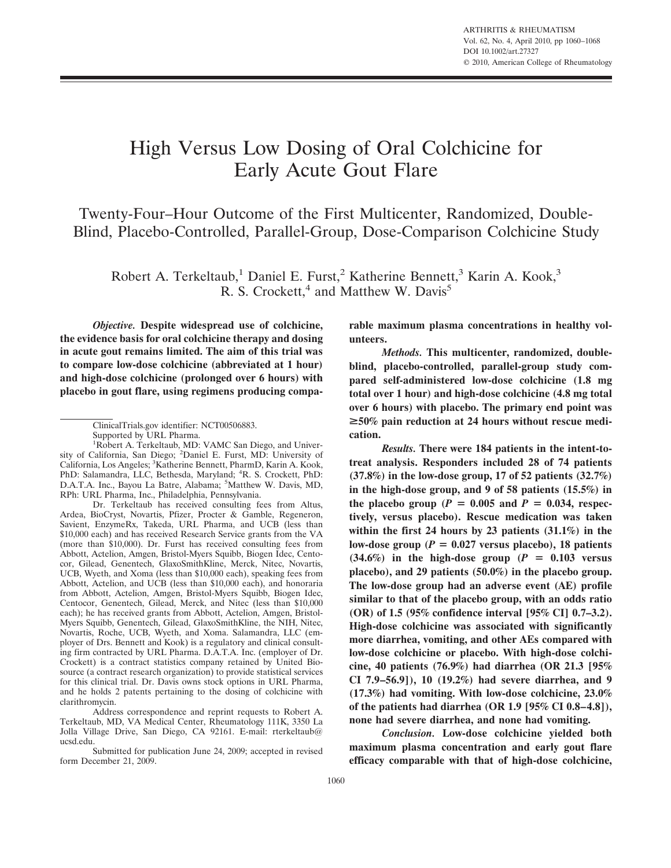# High Versus Low Dosing of Oral Colchicine for Early Acute Gout Flare

Twenty-Four–Hour Outcome of the First Multicenter, Randomized, Double-Blind, Placebo-Controlled, Parallel-Group, Dose-Comparison Colchicine Study

Robert A. Terkeltaub,<sup>1</sup> Daniel E. Furst,<sup>2</sup> Katherine Bennett,<sup>3</sup> Karin A. Kook,<sup>3</sup> R. S. Crockett, $4$  and Matthew W. Davis<sup>5</sup>

*Objective.* **Despite widespread use of colchicine, the evidence basis for oral colchicine therapy and dosing in acute gout remains limited. The aim of this trial was to compare low-dose colchicine (abbreviated at 1 hour) and high-dose colchicine (prolonged over 6 hours) with placebo in gout flare, using regimens producing compa-**

Address correspondence and reprint requests to Robert A. Terkeltaub, MD, VA Medical Center, Rheumatology 111K, 3350 La Jolla Village Drive, San Diego, CA 92161. E-mail: rterkeltaub@ ucsd.edu.

Submitted for publication June 24, 2009; accepted in revised form December 21, 2009.

**rable maximum plasma concentrations in healthy volunteers.**

*Methods.* **This multicenter, randomized, doubleblind, placebo-controlled, parallel-group study compared self-administered low-dose colchicine (1.8 mg total over 1 hour) and high-dose colchicine (4.8 mg total over 6 hours) with placebo. The primary end point was** >**50% pain reduction at 24 hours without rescue medication.**

*Results.* **There were 184 patients in the intent-totreat analysis. Responders included 28 of 74 patients (37.8%) in the low-dose group, 17 of 52 patients (32.7%) in the high-dose group, and 9 of 58 patients (15.5%) in** the placebo group ( $P = 0.005$  and  $P = 0.034$ , respec**tively, versus placebo). Rescue medication was taken within the first 24 hours by 23 patients (31.1%) in the** low-dose group ( $P = 0.027$  versus placebo), 18 patients  $(34.6\%)$  in the high-dose group  $(P = 0.103$  versus **placebo), and 29 patients (50.0%) in the placebo group. The low-dose group had an adverse event (AE) profile similar to that of the placebo group, with an odds ratio (OR) of 1.5 (95% confidence interval [95% CI] 0.7–3.2). High-dose colchicine was associated with significantly more diarrhea, vomiting, and other AEs compared with low-dose colchicine or placebo. With high-dose colchicine, 40 patients (76.9%) had diarrhea (OR 21.3 [95% CI 7.9–56.9]), 10 (19.2%) had severe diarrhea, and 9 (17.3%) had vomiting. With low-dose colchicine, 23.0% of the patients had diarrhea (OR 1.9 [95% CI 0.8–4.8]), none had severe diarrhea, and none had vomiting.**

*Conclusion.* **Low-dose colchicine yielded both maximum plasma concentration and early gout flare efficacy comparable with that of high-dose colchicine,**

ClinicalTrials.gov identifier: NCT00506883.

Supported by URL Pharma.

<sup>&</sup>lt;sup>1</sup>Robert A. Terkeltaub, MD: VAMC San Diego, and University of California, San Diego; <sup>2</sup>Daniel E. Furst, MD: University of California, Los Angeles; <sup>3</sup> Katherine Bennett, PharmD, Karin A. Kook, PhD: Salamandra, LLC, Bethesda, Maryland; <sup>4</sup>R. S. Crockett, PhD: D.A.T.A. Inc., Bayou La Batre, Alabama; 5Matthew W. Davis, MD, RPh: URL Pharma, Inc., Philadelphia, Pennsylvania.

Dr. Terkeltaub has received consulting fees from Altus, Ardea, BioCryst, Novartis, Pfizer, Procter & Gamble, Regeneron, Savient, EnzymeRx, Takeda, URL Pharma, and UCB (less than \$10,000 each) and has received Research Service grants from the VA (more than \$10,000). Dr. Furst has received consulting fees from Abbott, Actelion, Amgen, Bristol-Myers Squibb, Biogen Idec, Centocor, Gilead, Genentech, GlaxoSmithKline, Merck, Nitec, Novartis, UCB, Wyeth, and Xoma (less than \$10,000 each), speaking fees from Abbott, Actelion, and UCB (less than \$10,000 each), and honoraria from Abbott, Actelion, Amgen, Bristol-Myers Squibb, Biogen Idec, Centocor, Genentech, Gilead, Merck, and Nitec (less than \$10,000 each); he has received grants from Abbott, Actelion, Amgen, Bristol-Myers Squibb, Genentech, Gilead, GlaxoSmithKline, the NIH, Nitec, Novartis, Roche, UCB, Wyeth, and Xoma. Salamandra, LLC (employer of Drs. Bennett and Kook) is a regulatory and clinical consulting firm contracted by URL Pharma. D.A.T.A. Inc. (employer of Dr. Crockett) is a contract statistics company retained by United Biosource (a contract research organization) to provide statistical services for this clinical trial. Dr. Davis owns stock options in URL Pharma, and he holds 2 patents pertaining to the dosing of colchicine with clarithromycin.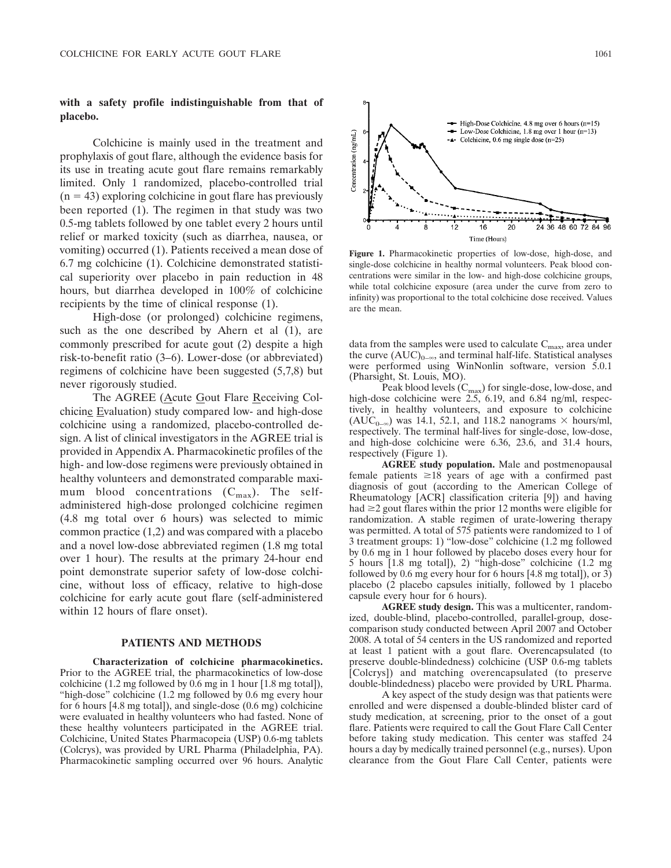# **with a safety profile indistinguishable from that of placebo.**

Colchicine is mainly used in the treatment and prophylaxis of gout flare, although the evidence basis for its use in treating acute gout flare remains remarkably limited. Only 1 randomized, placebo-controlled trial  $(n = 43)$  exploring colchicine in gout flare has previously been reported (1). The regimen in that study was two 0.5-mg tablets followed by one tablet every 2 hours until relief or marked toxicity (such as diarrhea, nausea, or vomiting) occurred (1). Patients received a mean dose of 6.7 mg colchicine (1). Colchicine demonstrated statistical superiority over placebo in pain reduction in 48 hours, but diarrhea developed in 100% of colchicine recipients by the time of clinical response (1).

High-dose (or prolonged) colchicine regimens, such as the one described by Ahern et al  $(1)$ , are commonly prescribed for acute gout (2) despite a high risk-to-benefit ratio (3–6). Lower-dose (or abbreviated) regimens of colchicine have been suggested (5,7,8) but never rigorously studied.

The AGREE (Acute Gout Flare Receiving Colchicine Evaluation) study compared low- and high-dose colchicine using a randomized, placebo-controlled design. A list of clinical investigators in the AGREE trial is provided in Appendix A. Pharmacokinetic profiles of the high- and low-dose regimens were previously obtained in healthy volunteers and demonstrated comparable maximum blood concentrations  $(C_{\text{max}})$ . The selfadministered high-dose prolonged colchicine regimen (4.8 mg total over 6 hours) was selected to mimic common practice (1,2) and was compared with a placebo and a novel low-dose abbreviated regimen (1.8 mg total over 1 hour). The results at the primary 24-hour end point demonstrate superior safety of low-dose colchicine, without loss of efficacy, relative to high-dose colchicine for early acute gout flare (self-administered within 12 hours of flare onset).

## **PATIENTS AND METHODS**

**Characterization of colchicine pharmacokinetics.** Prior to the AGREE trial, the pharmacokinetics of low-dose colchicine (1.2 mg followed by 0.6 mg in 1 hour [1.8 mg total]), "high-dose" colchicine (1.2 mg followed by 0.6 mg every hour for 6 hours [4.8 mg total]), and single-dose (0.6 mg) colchicine were evaluated in healthy volunteers who had fasted. None of these healthy volunteers participated in the AGREE trial. Colchicine, United States Pharmacopeia (USP) 0.6-mg tablets (Colcrys), was provided by URL Pharma (Philadelphia, PA). Pharmacokinetic sampling occurred over 96 hours. Analytic



**Figure 1.** Pharmacokinetic properties of low-dose, high-dose, and single-dose colchicine in healthy normal volunteers. Peak blood concentrations were similar in the low- and high-dose colchicine groups, while total colchicine exposure (area under the curve from zero to infinity) was proportional to the total colchicine dose received. Values are the mean.

data from the samples were used to calculate  $C_{\text{max}}$ , area under the curve  $(AUC)_{0-\infty}$ , and terminal half-life. Statistical analyses were performed using WinNonlin software, version 5.0.1 (Pharsight, St. Louis, MO).

Peak blood levels  $(C_{\text{max}})$  for single-dose, low-dose, and high-dose colchicine were 2.5, 6.19, and 6.84 ng/ml, respectively, in healthy volunteers, and exposure to colchicine  $(AUC_{0-\infty})$  was 14.1, 52.1, and 118.2 nanograms  $\times$  hours/ml, respectively. The terminal half-lives for single-dose, low-dose, and high-dose colchicine were 6.36, 23.6, and 31.4 hours, respectively (Figure 1).

**AGREE study population.** Male and postmenopausal female patients  $\geq 18$  years of age with a confirmed past diagnosis of gout (according to the American College of Rheumatology [ACR] classification criteria [9]) and having had  $\geq$  2 gout flares within the prior 12 months were eligible for randomization. A stable regimen of urate-lowering therapy was permitted. A total of 575 patients were randomized to 1 of 3 treatment groups: 1) "low-dose" colchicine (1.2 mg followed by 0.6 mg in 1 hour followed by placebo doses every hour for 5 hours [1.8 mg total]), 2) "high-dose" colchicine (1.2 mg followed by 0.6 mg every hour for 6 hours [4.8 mg total]), or 3) placebo (2 placebo capsules initially, followed by 1 placebo capsule every hour for 6 hours).

**AGREE study design.** This was a multicenter, randomized, double-blind, placebo-controlled, parallel-group, dosecomparison study conducted between April 2007 and October 2008. A total of 54 centers in the US randomized and reported at least 1 patient with a gout flare. Overencapsulated (to preserve double-blindedness) colchicine (USP 0.6-mg tablets [Colcrys]) and matching overencapsulated (to preserve double-blindedness) placebo were provided by URL Pharma.

A key aspect of the study design was that patients were enrolled and were dispensed a double-blinded blister card of study medication, at screening, prior to the onset of a gout flare. Patients were required to call the Gout Flare Call Center before taking study medication. This center was staffed 24 hours a day by medically trained personnel (e.g., nurses). Upon clearance from the Gout Flare Call Center, patients were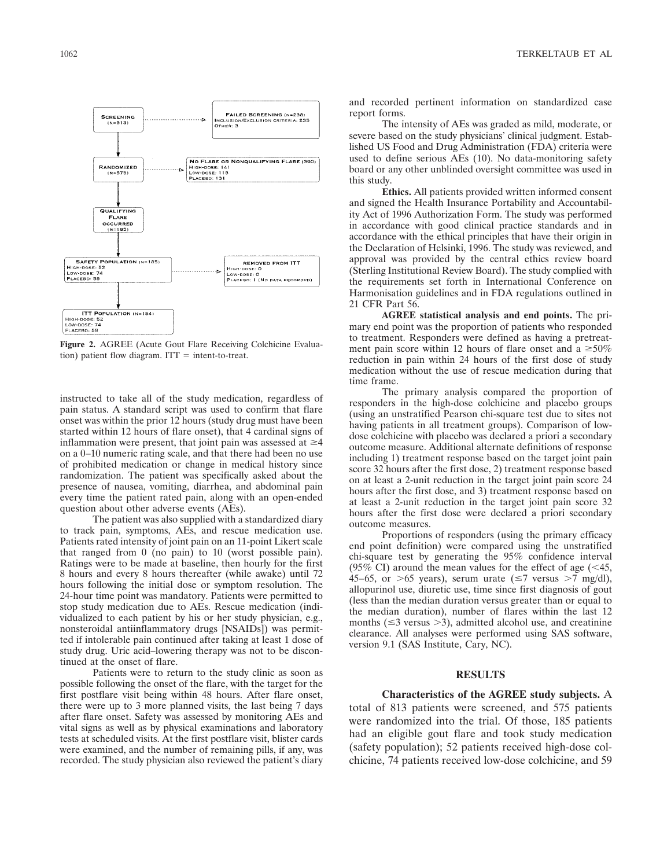

**Figure 2.** AGREE (Acute Gout Flare Receiving Colchicine Evaluation) patient flow diagram.  $ITT = intent-to-treat.$ 

instructed to take all of the study medication, regardless of pain status. A standard script was used to confirm that flare onset was within the prior 12 hours (study drug must have been started within 12 hours of flare onset), that 4 cardinal signs of inflammation were present, that joint pain was assessed at  $\geq 4$ on a 0–10 numeric rating scale, and that there had been no use of prohibited medication or change in medical history since randomization. The patient was specifically asked about the presence of nausea, vomiting, diarrhea, and abdominal pain every time the patient rated pain, along with an open-ended question about other adverse events (AEs).

The patient was also supplied with a standardized diary to track pain, symptoms, AEs, and rescue medication use. Patients rated intensity of joint pain on an 11-point Likert scale that ranged from 0 (no pain) to 10 (worst possible pain). Ratings were to be made at baseline, then hourly for the first 8 hours and every 8 hours thereafter (while awake) until 72 hours following the initial dose or symptom resolution. The 24-hour time point was mandatory. Patients were permitted to stop study medication due to AEs. Rescue medication (individualized to each patient by his or her study physician, e.g., nonsteroidal antiinflammatory drugs [NSAIDs]) was permitted if intolerable pain continued after taking at least 1 dose of study drug. Uric acid–lowering therapy was not to be discontinued at the onset of flare.

Patients were to return to the study clinic as soon as possible following the onset of the flare, with the target for the first postflare visit being within 48 hours. After flare onset, there were up to 3 more planned visits, the last being 7 days after flare onset. Safety was assessed by monitoring AEs and vital signs as well as by physical examinations and laboratory tests at scheduled visits. At the first postflare visit, blister cards were examined, and the number of remaining pills, if any, was recorded. The study physician also reviewed the patient's diary

and recorded pertinent information on standardized case report forms.

The intensity of AEs was graded as mild, moderate, or severe based on the study physicians' clinical judgment. Established US Food and Drug Administration (FDA) criteria were used to define serious AEs (10). No data-monitoring safety board or any other unblinded oversight committee was used in this study.

**Ethics.** All patients provided written informed consent and signed the Health Insurance Portability and Accountability Act of 1996 Authorization Form. The study was performed in accordance with good clinical practice standards and in accordance with the ethical principles that have their origin in the Declaration of Helsinki, 1996. The study was reviewed, and approval was provided by the central ethics review board (Sterling Institutional Review Board). The study complied with the requirements set forth in International Conference on Harmonisation guidelines and in FDA regulations outlined in 21 CFR Part 56.

**AGREE statistical analysis and end points.** The primary end point was the proportion of patients who responded to treatment. Responders were defined as having a pretreatment pain score within 12 hours of flare onset and a  $\geq 50\%$ reduction in pain within 24 hours of the first dose of study medication without the use of rescue medication during that time frame.

The primary analysis compared the proportion of responders in the high-dose colchicine and placebo groups (using an unstratified Pearson chi-square test due to sites not having patients in all treatment groups). Comparison of lowdose colchicine with placebo was declared a priori a secondary outcome measure. Additional alternate definitions of response including 1) treatment response based on the target joint pain score 32 hours after the first dose, 2) treatment response based on at least a 2-unit reduction in the target joint pain score 24 hours after the first dose, and 3) treatment response based on at least a 2-unit reduction in the target joint pain score 32 hours after the first dose were declared a priori secondary outcome measures.

Proportions of responders (using the primary efficacy end point definition) were compared using the unstratified chi-square test by generating the 95% confidence interval (95% CI) around the mean values for the effect of age  $(< 45$ , 45–65, or  $>$  65 years), serum urate ( $\leq$ 7 versus  $>$ 7 mg/dl), allopurinol use, diuretic use, time since first diagnosis of gout (less than the median duration versus greater than or equal to the median duration), number of flares within the last 12 months ( $\leq$ 3 versus  $>$ 3), admitted alcohol use, and creatinine clearance. All analyses were performed using SAS software, version 9.1 (SAS Institute, Cary, NC).

## **RESULTS**

#### **Characteristics of the AGREE study subjects.** A

total of 813 patients were screened, and 575 patients were randomized into the trial. Of those, 185 patients had an eligible gout flare and took study medication (safety population); 52 patients received high-dose colchicine, 74 patients received low-dose colchicine, and 59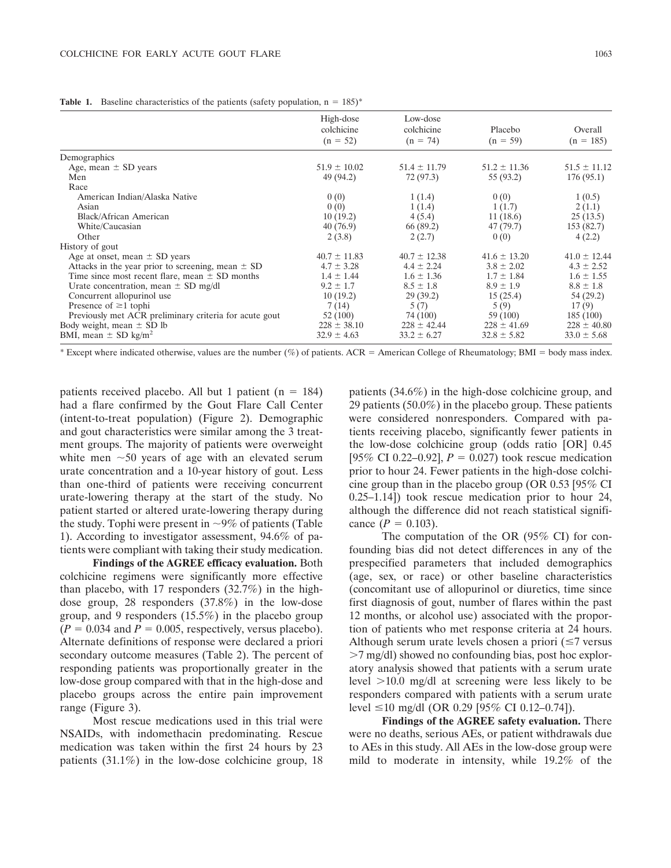**Table 1.** Baseline characteristics of the patients (safety population,  $n = 185$ )\*

|                                                        | High-dose<br>colchicine<br>$(n = 52)$ | Low-dose<br>colchicine<br>$(n = 74)$ | Placebo<br>$(n = 59)$ | Overall<br>$(n = 185)$ |
|--------------------------------------------------------|---------------------------------------|--------------------------------------|-----------------------|------------------------|
| Demographics                                           |                                       |                                      |                       |                        |
| Age, mean $\pm$ SD years                               | $51.9 \pm 10.02$                      | $51.4 \pm 11.79$                     | $51.2 \pm 11.36$      | $51.5 \pm 11.12$       |
| Men                                                    | 49 (94.2)                             | 72 (97.3)                            | 55 (93.2)             | 176(95.1)              |
| Race                                                   |                                       |                                      |                       |                        |
| American Indian/Alaska Native                          | 0(0)                                  | 1(1.4)                               | 0(0)                  | 1(0.5)                 |
| Asian                                                  | 0(0)                                  | 1(1.4)                               | 1(1.7)                | 2(1.1)                 |
| Black/African American                                 | 10(19.2)                              | 4(5.4)                               | 11(18.6)              | 25(13.5)               |
| White/Caucasian                                        | 40(76.9)                              | 66 (89.2)                            | 47 (79.7)             | 153 (82.7)             |
| Other                                                  | 2(3.8)                                | 2(2.7)                               | 0(0)                  | 4(2.2)                 |
| History of gout                                        |                                       |                                      |                       |                        |
| Age at onset, mean $\pm$ SD years                      | $40.7 \pm 11.83$                      | $40.7 \pm 12.38$                     | $41.6 \pm 13.20$      | $41.0 \pm 12.44$       |
| Attacks in the year prior to screening, mean $\pm$ SD  | $4.7 \pm 3.28$                        | $4.4 \pm 2.24$                       | $3.8 \pm 2.02$        | $4.3 \pm 2.52$         |
| Time since most recent flare, mean $\pm$ SD months     | $1.4 \pm 1.44$                        | $1.6 \pm 1.36$                       | $1.7 \pm 1.84$        | $1.6 \pm 1.55$         |
| Urate concentration, mean $\pm$ SD mg/dl               | $9.2 \pm 1.7$                         | $8.5 \pm 1.8$                        | $8.9 \pm 1.9$         | $8.8 \pm 1.8$          |
| Concurrent allopurinol use                             | 10(19.2)                              | 29(39.2)                             | 15(25.4)              | 54 (29.2)              |
| Presence of $\geq 1$ tophi                             | 7(14)                                 | 5(7)                                 | 5(9)                  | 17(9)                  |
| Previously met ACR preliminary criteria for acute gout | 52 (100)                              | 74 (100)                             | 59 (100)              | 185(100)               |
| Body weight, mean $\pm$ SD lb                          | $228 \pm 38.10$                       | $228 \pm 42.44$                      | $228 \pm 41.69$       | $228 \pm 40.80$        |
| BMI, mean $\pm$ SD kg/m <sup>2</sup>                   | $32.9 \pm 4.63$                       | $33.2 \pm 6.27$                      | $32.8 \pm 5.82$       | $33.0 \pm 5.68$        |
|                                                        |                                       |                                      |                       |                        |

\* Except where indicated otherwise, values are the number (%) of patients. ACR = American College of Rheumatology; BMI = body mass index.

patients received placebo. All but 1 patient ( $n = 184$ ) had a flare confirmed by the Gout Flare Call Center (intent-to-treat population) (Figure 2). Demographic and gout characteristics were similar among the 3 treatment groups. The majority of patients were overweight white men  $\sim$  50 years of age with an elevated serum urate concentration and a 10-year history of gout. Less than one-third of patients were receiving concurrent urate-lowering therapy at the start of the study. No patient started or altered urate-lowering therapy during the study. Tophi were present in  $\sim 9\%$  of patients (Table 1). According to investigator assessment, 94.6% of patients were compliant with taking their study medication.

**Findings of the AGREE efficacy evaluation.** Both colchicine regimens were significantly more effective than placebo, with 17 responders (32.7%) in the highdose group, 28 responders (37.8%) in the low-dose group, and 9 responders (15.5%) in the placebo group  $(P = 0.034$  and  $P = 0.005$ , respectively, versus placebo). Alternate definitions of response were declared a priori secondary outcome measures (Table 2). The percent of responding patients was proportionally greater in the low-dose group compared with that in the high-dose and placebo groups across the entire pain improvement range (Figure 3).

Most rescue medications used in this trial were NSAIDs, with indomethacin predominating. Rescue medication was taken within the first 24 hours by 23 patients (31.1%) in the low-dose colchicine group, 18 patients (34.6%) in the high-dose colchicine group, and 29 patients (50.0%) in the placebo group. These patients were considered nonresponders. Compared with patients receiving placebo, significantly fewer patients in the low-dose colchicine group (odds ratio [OR] 0.45 [95% CI 0.22–0.92],  $P = 0.027$ ) took rescue medication prior to hour 24. Fewer patients in the high-dose colchicine group than in the placebo group (OR 0.53 [95% CI 0.25–1.14]) took rescue medication prior to hour 24, although the difference did not reach statistical significance  $(P = 0.103)$ .

The computation of the OR (95% CI) for confounding bias did not detect differences in any of the prespecified parameters that included demographics (age, sex, or race) or other baseline characteristics (concomitant use of allopurinol or diuretics, time since first diagnosis of gout, number of flares within the past 12 months, or alcohol use) associated with the proportion of patients who met response criteria at 24 hours. Although serum urate levels chosen a priori  $(\leq 7$  versus 7 mg/dl) showed no confounding bias, post hoc exploratory analysis showed that patients with a serum urate level  $>10.0$  mg/dl at screening were less likely to be responders compared with patients with a serum urate level ≤10 mg/dl (OR 0.29 [95% CI 0.12–0.74]).

**Findings of the AGREE safety evaluation.** There were no deaths, serious AEs, or patient withdrawals due to AEs in this study. All AEs in the low-dose group were mild to moderate in intensity, while 19.2% of the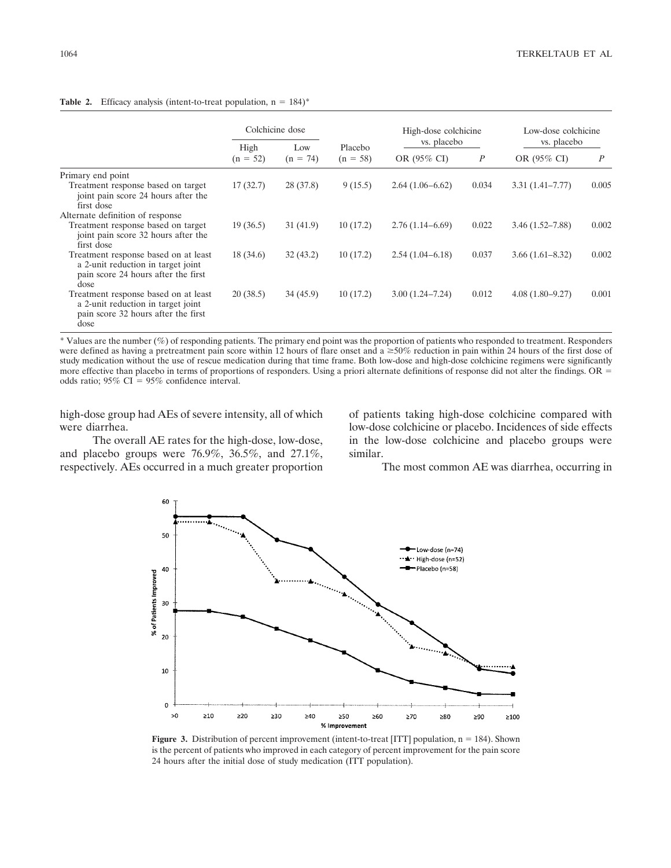|                                                                                                                           | Colchicine dose    |                   |                       | High-dose colchicine<br>vs. placebo |                  | Low-dose colchicine<br>vs. placebo |       |
|---------------------------------------------------------------------------------------------------------------------------|--------------------|-------------------|-----------------------|-------------------------------------|------------------|------------------------------------|-------|
|                                                                                                                           | High<br>$(n = 52)$ | Low<br>$(n = 74)$ | Placebo<br>$(n = 58)$ | OR (95% CI)                         | $\boldsymbol{P}$ | OR $(95\% \text{ CI})$             | P     |
| Primary end point                                                                                                         |                    |                   |                       |                                     |                  |                                    |       |
| Treatment response based on target<br>joint pain score 24 hours after the<br>first dose                                   | 17(32.7)           | 28(37.8)          | 9(15.5)               | $2.64(1.06-6.62)$                   | 0.034            | $3.31(1.41 - 7.77)$                | 0.005 |
| Alternate definition of response                                                                                          |                    |                   |                       |                                     |                  |                                    |       |
| Treatment response based on target<br>joint pain score 32 hours after the<br>first dose                                   | 19(36.5)           | 31(41.9)          | 10(17.2)              | $2.76(1.14-6.69)$                   | 0.022            | $3.46(1.52 - 7.88)$                | 0.002 |
| Treatment response based on at least<br>a 2-unit reduction in target joint<br>pain score 24 hours after the first<br>dose | 18(34.6)           | 32(43.2)          | 10(17.2)              | $2.54(1.04-6.18)$                   | 0.037            | $3.66(1.61 - 8.32)$                | 0.002 |
| Treatment response based on at least<br>a 2-unit reduction in target joint<br>pain score 32 hours after the first<br>dose | 20(38.5)           | 34(45.9)          | 10(17.2)              | $3.00(1.24 - 7.24)$                 | 0.012            | $4.08(1.80 - 9.27)$                | 0.001 |

## **Table 2.** Efficacy analysis (intent-to-treat population,  $n = 184$ )\*

\* Values are the number (%) of responding patients. The primary end point was the proportion of patients who responded to treatment. Responders were defined as having a pretreatment pain score within 12 hours of flare onset and a  $\geq 50\%$  reduction in pain within 24 hours of the first dose of study medication without the use of rescue medication during that time frame. Both low-dose and high-dose colchicine regimens were significantly more effective than placebo in terms of proportions of responders. Using a priori alternate definitions of response did not alter the findings. OR odds ratio;  $95\%$  CI =  $95\%$  confidence interval.

high-dose group had AEs of severe intensity, all of which were diarrhea.

The overall AE rates for the high-dose, low-dose, and placebo groups were 76.9%, 36.5%, and 27.1%, respectively. AEs occurred in a much greater proportion of patients taking high-dose colchicine compared with low-dose colchicine or placebo. Incidences of side effects in the low-dose colchicine and placebo groups were similar.

The most common AE was diarrhea, occurring in



**Figure 3.** Distribution of percent improvement (intent-to-treat [ITT] population,  $n = 184$ ). Shown is the percent of patients who improved in each category of percent improvement for the pain score 24 hours after the initial dose of study medication (ITT population).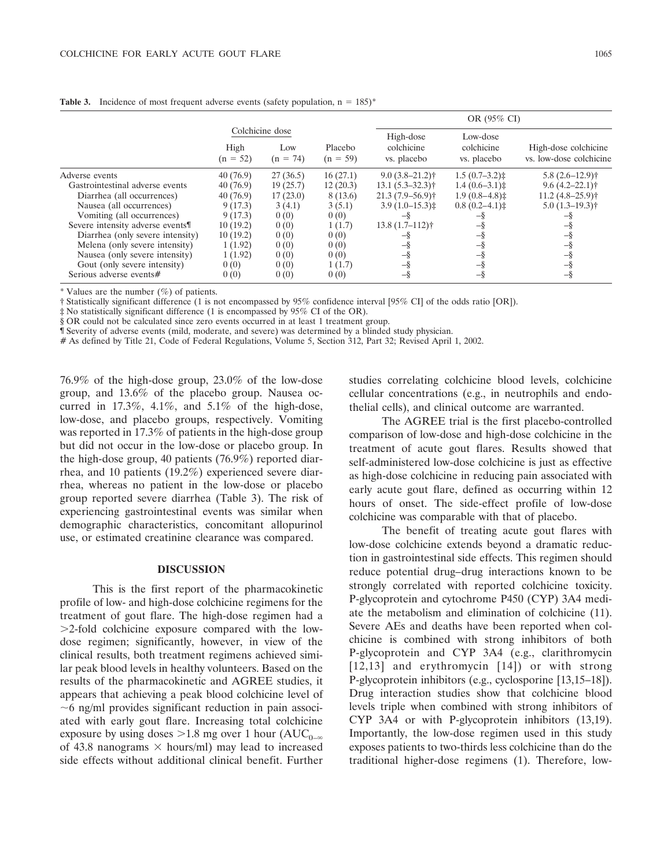|                                  |                    |                                      |                       |                                        | OR (95% CI)                           |                                                 |  |  |
|----------------------------------|--------------------|--------------------------------------|-----------------------|----------------------------------------|---------------------------------------|-------------------------------------------------|--|--|
|                                  | High<br>$(n = 52)$ | Colchicine dose<br>Low<br>$(n = 74)$ | Placebo<br>$(n = 59)$ | High-dose<br>colchicine<br>vs. placebo | Low-dose<br>colchicine<br>vs. placebo | High-dose colchicine<br>vs. low-dose colchicine |  |  |
| Adverse events                   | 40(76.9)           | 27(36.5)                             | 16(27.1)              | $9.0(3.8-21.2)$ †                      | $1.5(0.7-3.2)$                        | $5.8(2.6-12.9)$ †                               |  |  |
| Gastrointestinal adverse events  | 40(76.9)           | 19(25.7)                             | 12(20.3)              | $13.1(5.3 - 32.3)$ †                   | $1.4(0.6-3.1)$                        | $9.6(4.2 - 22.1)$ †                             |  |  |
| Diarrhea (all occurrences)       | 40(76.9)           | 17(23.0)                             | 8 (13.6)              | $21.3(7.9-56.9)$                       | $1.9(0.8-4.8)$                        | $11.2(4.8-25.9)$ <sup>†</sup>                   |  |  |
| Nausea (all occurrences)         | 9(17.3)            | 3(4.1)                               | 3(5.1)                | $3.9(1.0-15.3)$                        | $0.8(0.2-4.1)$                        | $5.0(1.3-19.3)$ †                               |  |  |
| Vomiting (all occurrences)       | 9(17.3)            | 0(0)                                 | 0(0)                  | $-\delta$                              |                                       |                                                 |  |  |
| Severe intensity adverse events  | 10(19.2)           | 0(0)                                 | 1(1.7)                | $13.8(1.7-112)$ <sup>†</sup>           | -8                                    | -8                                              |  |  |
| Diarrhea (only severe intensity) | 10(19.2)           | 0(0)                                 | 0(0)                  | -s                                     | -8                                    | -8                                              |  |  |
| Melena (only severe intensity)   | 1(1.92)            | 0(0)                                 | 0(0)                  |                                        | -8                                    | -8                                              |  |  |
| Nausea (only severe intensity)   | 1(1.92)            | 0(0)                                 | 0(0)                  | -š                                     | -8                                    | $-\delta$                                       |  |  |
| Gout (only severe intensity)     | 0(0)               | 0(0)                                 | 1(1.7)                | -š                                     |                                       | -8                                              |  |  |
| Serious adverse events#          | 0(0)               | 0(0)                                 | 0(0)                  | -š                                     | -8                                    | -8                                              |  |  |

**Table 3.** Incidence of most frequent adverse events (safety population,  $n = 185$ )\*

\* Values are the number  $(\%)$  of patients.

† Statistically significant difference (1 is not encompassed by 95% confidence interval [95% CI] of the odds ratio [OR]).

‡ No statistically significant difference (1 is encompassed by 95% CI of the OR).

§ OR could not be calculated since zero events occurred in at least 1 treatment group.

¶ Severity of adverse events (mild, moderate, and severe) was determined by a blinded study physician.

# As defined by Title 21, Code of Federal Regulations, Volume 5, Section 312, Part 32; Revised April 1, 2002.

76.9% of the high-dose group, 23.0% of the low-dose group, and 13.6% of the placebo group. Nausea occurred in  $17.3\%$ ,  $4.1\%$ , and  $5.1\%$  of the high-dose, low-dose, and placebo groups, respectively. Vomiting was reported in 17.3% of patients in the high-dose group but did not occur in the low-dose or placebo group. In the high-dose group, 40 patients (76.9%) reported diarrhea, and 10 patients (19.2%) experienced severe diarrhea, whereas no patient in the low-dose or placebo group reported severe diarrhea (Table 3). The risk of experiencing gastrointestinal events was similar when demographic characteristics, concomitant allopurinol use, or estimated creatinine clearance was compared.

### **DISCUSSION**

This is the first report of the pharmacokinetic profile of low- and high-dose colchicine regimens for the treatment of gout flare. The high-dose regimen had a 2-fold colchicine exposure compared with the lowdose regimen; significantly, however, in view of the clinical results, both treatment regimens achieved similar peak blood levels in healthy volunteers. Based on the results of the pharmacokinetic and AGREE studies, it appears that achieving a peak blood colchicine level of  $\sim$ 6 ng/ml provides significant reduction in pain associated with early gout flare. Increasing total colchicine exposure by using doses  $>1.8$  mg over 1 hour (AUC<sub>0– $\infty$ </sub>) of 43.8 nanograms  $\times$  hours/ml) may lead to increased side effects without additional clinical benefit. Further

studies correlating colchicine blood levels, colchicine cellular concentrations (e.g., in neutrophils and endothelial cells), and clinical outcome are warranted.

The AGREE trial is the first placebo-controlled comparison of low-dose and high-dose colchicine in the treatment of acute gout flares. Results showed that self-administered low-dose colchicine is just as effective as high-dose colchicine in reducing pain associated with early acute gout flare, defined as occurring within 12 hours of onset. The side-effect profile of low-dose colchicine was comparable with that of placebo.

The benefit of treating acute gout flares with low-dose colchicine extends beyond a dramatic reduction in gastrointestinal side effects. This regimen should reduce potential drug–drug interactions known to be strongly correlated with reported colchicine toxicity. P-glycoprotein and cytochrome P450 (CYP) 3A4 mediate the metabolism and elimination of colchicine (11). Severe AEs and deaths have been reported when colchicine is combined with strong inhibitors of both P-glycoprotein and CYP 3A4 (e.g., clarithromycin [12,13] and erythromycin [14]) or with strong P-glycoprotein inhibitors (e.g., cyclosporine [13,15–18]). Drug interaction studies show that colchicine blood levels triple when combined with strong inhibitors of CYP 3A4 or with P-glycoprotein inhibitors (13,19). Importantly, the low-dose regimen used in this study exposes patients to two-thirds less colchicine than do the traditional higher-dose regimens (1). Therefore, low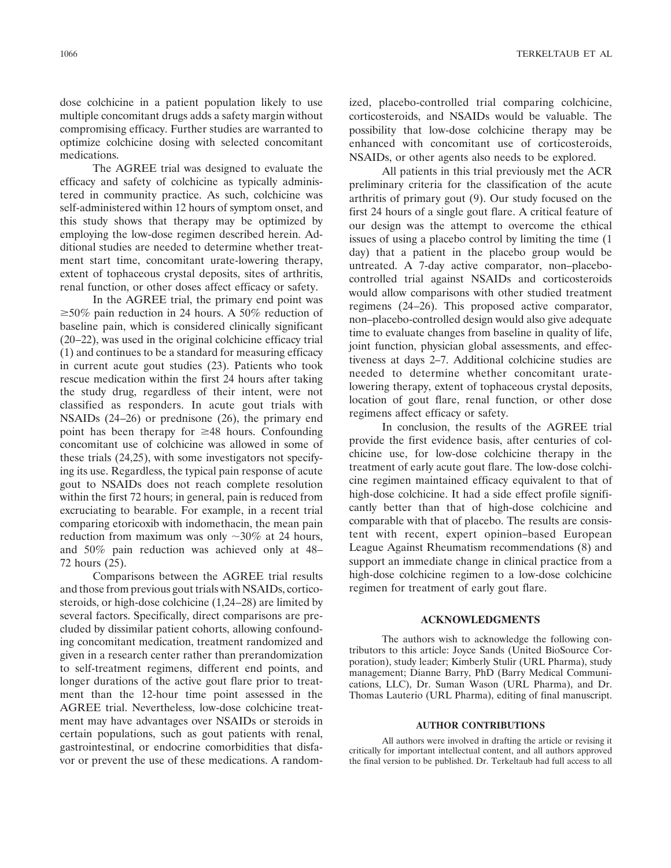dose colchicine in a patient population likely to use multiple concomitant drugs adds a safety margin without compromising efficacy. Further studies are warranted to optimize colchicine dosing with selected concomitant medications.

The AGREE trial was designed to evaluate the efficacy and safety of colchicine as typically administered in community practice. As such, colchicine was self-administered within 12 hours of symptom onset, and this study shows that therapy may be optimized by employing the low-dose regimen described herein. Additional studies are needed to determine whether treatment start time, concomitant urate-lowering therapy, extent of tophaceous crystal deposits, sites of arthritis, renal function, or other doses affect efficacy or safety.

In the AGREE trial, the primary end point was  $\geq$ 50% pain reduction in 24 hours. A 50% reduction of baseline pain, which is considered clinically significant (20–22), was used in the original colchicine efficacy trial (1) and continues to be a standard for measuring efficacy in current acute gout studies (23). Patients who took rescue medication within the first 24 hours after taking the study drug, regardless of their intent, were not classified as responders. In acute gout trials with NSAIDs (24–26) or prednisone (26), the primary end point has been therapy for  $\geq 48$  hours. Confounding concomitant use of colchicine was allowed in some of these trials (24,25), with some investigators not specifying its use. Regardless, the typical pain response of acute gout to NSAIDs does not reach complete resolution within the first 72 hours; in general, pain is reduced from excruciating to bearable. For example, in a recent trial comparing etoricoxib with indomethacin, the mean pain reduction from maximum was only  $\sim$ 30% at 24 hours, and 50% pain reduction was achieved only at 48– 72 hours (25).

Comparisons between the AGREE trial results and those from previous gout trials with NSAIDs, corticosteroids, or high-dose colchicine (1,24–28) are limited by several factors. Specifically, direct comparisons are precluded by dissimilar patient cohorts, allowing confounding concomitant medication, treatment randomized and given in a research center rather than prerandomization to self-treatment regimens, different end points, and longer durations of the active gout flare prior to treatment than the 12-hour time point assessed in the AGREE trial. Nevertheless, low-dose colchicine treatment may have advantages over NSAIDs or steroids in certain populations, such as gout patients with renal, gastrointestinal, or endocrine comorbidities that disfavor or prevent the use of these medications. A randomized, placebo-controlled trial comparing colchicine, corticosteroids, and NSAIDs would be valuable. The possibility that low-dose colchicine therapy may be enhanced with concomitant use of corticosteroids, NSAIDs, or other agents also needs to be explored.

All patients in this trial previously met the ACR preliminary criteria for the classification of the acute arthritis of primary gout (9). Our study focused on the first 24 hours of a single gout flare. A critical feature of our design was the attempt to overcome the ethical issues of using a placebo control by limiting the time (1 day) that a patient in the placebo group would be untreated. A 7-day active comparator, non–placebocontrolled trial against NSAIDs and corticosteroids would allow comparisons with other studied treatment regimens (24–26). This proposed active comparator, non–placebo-controlled design would also give adequate time to evaluate changes from baseline in quality of life, joint function, physician global assessments, and effectiveness at days 2–7. Additional colchicine studies are needed to determine whether concomitant uratelowering therapy, extent of tophaceous crystal deposits, location of gout flare, renal function, or other dose regimens affect efficacy or safety.

In conclusion, the results of the AGREE trial provide the first evidence basis, after centuries of colchicine use, for low-dose colchicine therapy in the treatment of early acute gout flare. The low-dose colchicine regimen maintained efficacy equivalent to that of high-dose colchicine. It had a side effect profile significantly better than that of high-dose colchicine and comparable with that of placebo. The results are consistent with recent, expert opinion–based European League Against Rheumatism recommendations (8) and support an immediate change in clinical practice from a high-dose colchicine regimen to a low-dose colchicine regimen for treatment of early gout flare.

## **ACKNOWLEDGMENTS**

The authors wish to acknowledge the following contributors to this article: Joyce Sands (United BioSource Corporation), study leader; Kimberly Stulir (URL Pharma), study management; Dianne Barry, PhD (Barry Medical Communications, LLC), Dr. Suman Wason (URL Pharma), and Dr. Thomas Lauterio (URL Pharma), editing of final manuscript.

#### **AUTHOR CONTRIBUTIONS**

All authors were involved in drafting the article or revising it critically for important intellectual content, and all authors approved the final version to be published. Dr. Terkeltaub had full access to all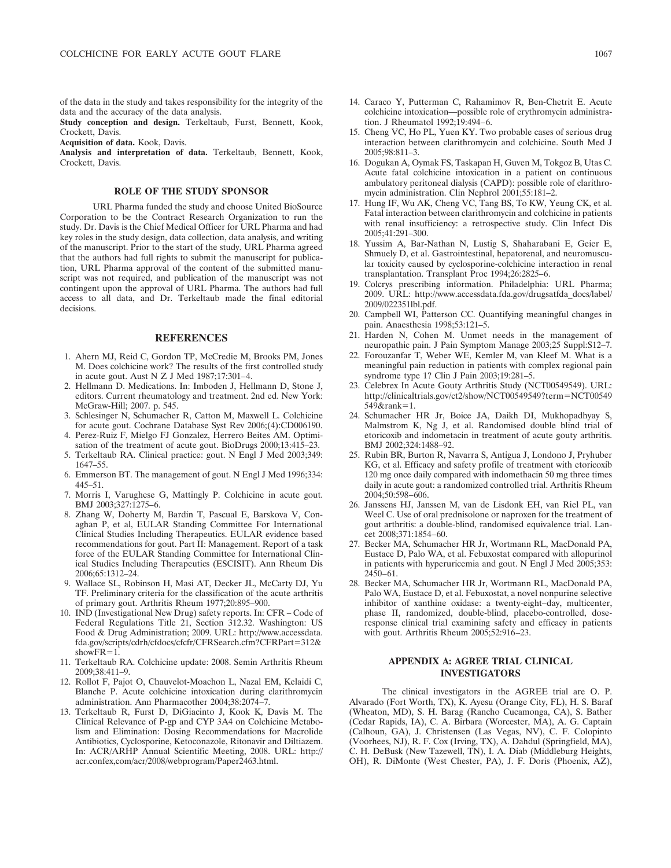of the data in the study and takes responsibility for the integrity of the data and the accuracy of the data analysis.

**Study conception and design.** Terkeltaub, Furst, Bennett, Kook, Crockett, Davis.

**Acquisition of data.** Kook, Davis.

**Analysis and interpretation of data.** Terkeltaub, Bennett, Kook, Crockett, Davis.

### **ROLE OF THE STUDY SPONSOR**

URL Pharma funded the study and choose United BioSource Corporation to be the Contract Research Organization to run the study. Dr. Davis is the Chief Medical Officer for URL Pharma and had key roles in the study design, data collection, data analysis, and writing of the manuscript. Prior to the start of the study, URL Pharma agreed that the authors had full rights to submit the manuscript for publication, URL Pharma approval of the content of the submitted manuscript was not required, and publication of the manuscript was not contingent upon the approval of URL Pharma. The authors had full access to all data, and Dr. Terkeltaub made the final editorial decisions.

#### **REFERENCES**

- 1. Ahern MJ, Reid C, Gordon TP, McCredie M, Brooks PM, Jones M. Does colchicine work? The results of the first controlled study in acute gout. Aust N Z J Med 1987;17:301–4.
- 2. Hellmann D. Medications. In: Imboden J, Hellmann D, Stone J, editors. Current rheumatology and treatment. 2nd ed. New York: McGraw-Hill; 2007. p. 545.
- 3. Schlesinger N, Schumacher R, Catton M, Maxwell L. Colchicine for acute gout. Cochrane Database Syst Rev 2006;(4):CD006190.
- 4. Perez-Ruiz F, Mielgo FJ Gonzalez, Herrero Beites AM. Optimisation of the treatment of acute gout. BioDrugs 2000;13:415–23.
- 5. Terkeltaub RA. Clinical practice: gout. N Engl J Med 2003;349: 1647–55.
- 6. Emmerson BT. The management of gout. N Engl J Med 1996;334: 445–51.
- 7. Morris I, Varughese G, Mattingly P. Colchicine in acute gout. BMJ 2003;327:1275–6.
- 8. Zhang W, Doherty M, Bardin T, Pascual E, Barskova V, Conaghan P, et al, EULAR Standing Committee For International Clinical Studies Including Therapeutics. EULAR evidence based recommendations for gout. Part II: Management. Report of a task force of the EULAR Standing Committee for International Clinical Studies Including Therapeutics (ESCISIT). Ann Rheum Dis 2006;65:1312–24.
- 9. Wallace SL, Robinson H, Masi AT, Decker JL, McCarty DJ, Yu TF. Preliminary criteria for the classification of the acute arthritis of primary gout. Arthritis Rheum 1977;20:895–900.
- 10. IND (Investigational New Drug) safety reports. In: CFR Code of Federal Regulations Title 21, Section 312.32. Washington: US Food & Drug Administration; 2009. URL: http://www.accessdata. fda.gov/scripts/cdrh/cfdocs/cfcfr/CFRSearch.cfm?CFRPart=312& show $FR = 1$ .
- 11. Terkeltaub RA. Colchicine update: 2008. Semin Arthritis Rheum 2009;38:411–9.
- 12. Rollot F, Pajot O, Chauvelot-Moachon L, Nazal EM, Kelaidi C, Blanche P. Acute colchicine intoxication during clarithromycin administration. Ann Pharmacother 2004;38:2074–7.
- 13. Terkeltaub R, Furst D, DiGiacinto J, Kook K, Davis M. The Clinical Relevance of P-gp and CYP 3A4 on Colchicine Metabolism and Elimination: Dosing Recommendations for Macrolide Antibiotics, Cyclosporine, Ketoconazole, Ritonavir and Diltiazem. In: ACR/ARHP Annual Scientific Meeting, 2008. URL: http:// acr.confex,com/acr/2008/webprogram/Paper2463.html.
- 14. Caraco Y, Putterman C, Rahamimov R, Ben-Chetrit E. Acute colchicine intoxication—possible role of erythromycin administration. J Rheumatol 1992;19:494–6.
- 15. Cheng VC, Ho PL, Yuen KY. Two probable cases of serious drug interaction between clarithromycin and colchicine. South Med J 2005;98:811–3.
- 16. Dogukan A, Oymak FS, Taskapan H, Guven M, Tokgoz B, Utas C. Acute fatal colchicine intoxication in a patient on continuous ambulatory peritoneal dialysis (CAPD): possible role of clarithromycin administration. Clin Nephrol 2001;55:181–2.
- 17. Hung IF, Wu AK, Cheng VC, Tang BS, To KW, Yeung CK, et al. Fatal interaction between clarithromycin and colchicine in patients with renal insufficiency: a retrospective study. Clin Infect Dis 2005;41:291–300.
- 18. Yussim A, Bar-Nathan N, Lustig S, Shaharabani E, Geier E, Shmuely D, et al. Gastrointestinal, hepatorenal, and neuromuscular toxicity caused by cyclosporine-colchicine interaction in renal transplantation. Transplant Proc 1994;26:2825–6.
- 19. Colcrys prescribing information. Philadelphia: URL Pharma; 2009. URL: http://www.accessdata.fda.gov/drugsatfda\_docs/label/ 2009/022351lbl.pdf.
- 20. Campbell WI, Patterson CC. Quantifying meaningful changes in pain. Anaesthesia 1998;53:121–5.
- 21. Harden N, Cohen M. Unmet needs in the management of neuropathic pain. J Pain Symptom Manage 2003;25 Suppl:S12–7.
- 22. Forouzanfar T, Weber WE, Kemler M, van Kleef M. What is a meaningful pain reduction in patients with complex regional pain syndrome type 1? Clin J Pain 2003;19:281–5.
- 23. Celebrex In Acute Gouty Arthritis Study (NCT00549549). URL: http://clinicaltrials.gov/ct2/show/NCT00549549?term=NCT00549  $549&$ rank=1.
- 24. Schumacher HR Jr, Boice JA, Daikh DI, Mukhopadhyay S, Malmstrom K, Ng J, et al. Randomised double blind trial of etoricoxib and indometacin in treatment of acute gouty arthritis. BMJ 2002;324:1488–92.
- 25. Rubin BR, Burton R, Navarra S, Antigua J, Londono J, Pryhuber KG, et al. Efficacy and safety profile of treatment with etoricoxib 120 mg once daily compared with indomethacin 50 mg three times daily in acute gout: a randomized controlled trial. Arthritis Rheum 2004;50:598–606.
- 26. Janssens HJ, Janssen M, van de Lisdonk EH, van Riel PL, van Weel C. Use of oral prednisolone or naproxen for the treatment of gout arthritis: a double-blind, randomised equivalence trial. Lancet 2008;371:1854–60.
- 27. Becker MA, Schumacher HR Jr, Wortmann RL, MacDonald PA, Eustace D, Palo WA, et al. Febuxostat compared with allopurinol in patients with hyperuricemia and gout. N Engl J Med 2005;353: 2450–61.
- 28. Becker MA, Schumacher HR Jr, Wortmann RL, MacDonald PA, Palo WA, Eustace D, et al. Febuxostat, a novel nonpurine selective inhibitor of xanthine oxidase: a twenty-eight–day, multicenter, phase II, randomized, double-blind, placebo-controlled, doseresponse clinical trial examining safety and efficacy in patients with gout. Arthritis Rheum 2005;52:916–23.

#### **APPENDIX A: AGREE TRIAL CLINICAL INVESTIGATORS**

The clinical investigators in the AGREE trial are O. P. Alvarado (Fort Worth, TX), K. Ayesu (Orange City, FL), H. S. Baraf (Wheaton, MD), S. H. Barag (Rancho Cucamonga, CA), S. Bather (Cedar Rapids, IA), C. A. Birbara (Worcester, MA), A. G. Captain (Calhoun, GA), J. Christensen (Las Vegas, NV), C. F. Colopinto (Voorhees, NJ), R. F. Cox (Irving, TX), A. Dahdul (Springfield, MA), C. H. DeBusk (New Tazewell, TN), I. A. Diab (Middleburg Heights, OH), R. DiMonte (West Chester, PA), J. F. Doris (Phoenix, AZ),